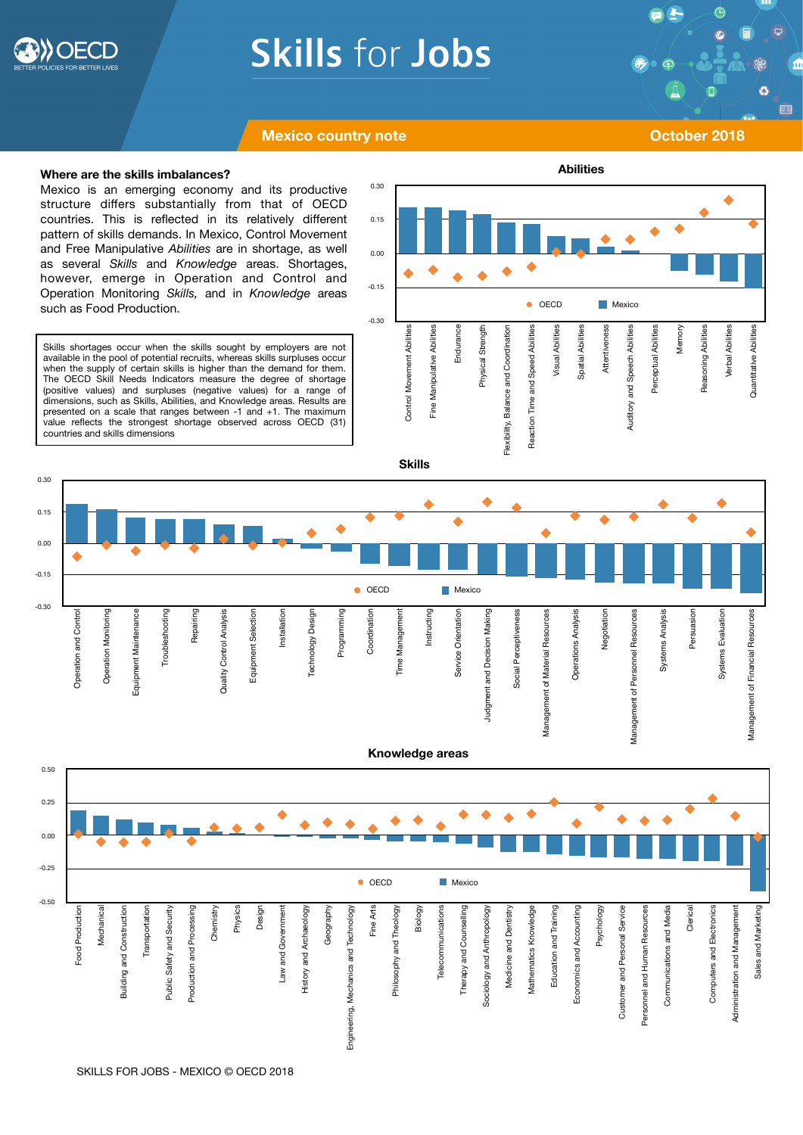

-0.50

Food Production Mechanical

Food Production Mechanica Building and Construction

**Building and Construction** 

Transportation

Transportation

Public Safety and Security Production and Processing

Public Safety and Security Production and Processing

-0.25

0.00

 $0.25$ 

0.50

-0.30

Operation and Control

**Deration and Control** 

Operation Monitoring

Operation Monitoring

Equipment Maintenance

Equipment Maintenance

Troubleshooting

Troubleshooting

Repairing

Quality Control Analysis

Quality Control Analysis

Equipment Selection

Equipment Selection

Installation

Installation

Technology Design

Technology Design

Programming

Programming

-0.15

0.00

0.15

0.30

# **Skills for Jobs**

 $\bigoplus$ Ø <sup>1</sup>

### **Mexico country note COVID-100 COVID-100 COVID-100 COVID-100 COVID-100 COVID-100 COVID-100 COVID-100 COVID-100 COVID-100 COVID-100 COVID-100 COVID-100 COVID-100 COVID-100 COVID-100 COVID-100 COVID-100 COVID-100 COVID-100**

**Where are the skills imbalances?** 

Mexico is an emerging economy and its productive structure differs substantially from that of OECD countries. This is reflected in its relatively different pattern of skills demands. In Mexico, Control Movement and Free Manipulative *Abilities* are in shortage, as well as several *Skills* and *Knowledge* areas. Shortages, however, emerge in Operation and Control and Operation Monitoring *Skills,* and in *Knowledge* areas such as Food Production.

Skills shortages occur when the skills sought by employers are not available in the pool of potential recruits, whereas skills surpluses occur when the supply of certain skills is higher than the demand for them. The OECD Skill Needs Indicators measure the degree of shortage (positive values) and surpluses (negative values) for a range of dimensions, such as Skills, Abilities, and Knowledge areas. Results are presented on a scale that ranges between -1 and +1. The maximum value reflects the strongest shortage observed across OECD (31) countries and skills dimensions



Chemistry Physics Design Law and Government History and Archaeology

Law and Government

**History and Archaeology** 

Geography

Geography